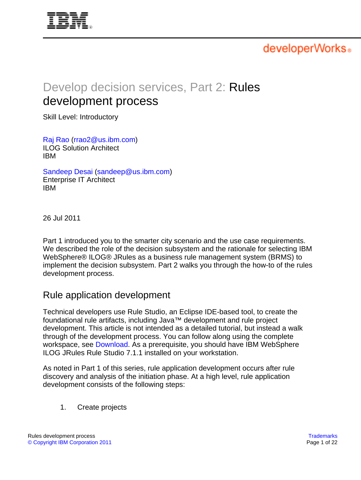<span id="page-0-0"></span>

# developerWorks.

# Develop decision services, Part 2: Rules development process

Skill Level: Introductory

[Raj Rao](#page-21-0) ([rrao2@us.ibm.com](mailto:rrao2@us.ibm.com)) ILOG Solution Architect IBM

[Sandeep Desai](#page-21-0) [\(sandeep@us.ibm.com\)](mailto:sandeep@us.ibm.com) Enterprise IT Architect IBM

26 Jul 2011

Part 1 introduced you to the smarter city scenario and the use case requirements. We described the role of the decision subsystem and the rationale for selecting IBM WebSphere® ILOG® JRules as a business rule management system (BRMS) to implement the decision subsystem. Part 2 walks you through the how-to of the rules development process.

## Rule application development

Technical developers use Rule Studio, an Eclipse IDE-based tool, to create the foundational rule artifacts, including Java™ development and rule project development. This article is not intended as a detailed tutorial, but instead a walk through of the development process. You can follow along using the complete workspace, see [Download.](#page-19-0) As a prerequisite, you should have IBM WebSphere ILOG JRules Rule Studio 7.1.1 installed on your workstation.

As noted in Part 1 of this series, rule application development occurs after rule discovery and analysis of the initiation phase. At a high level, rule application development consists of the following steps:

1. Create projects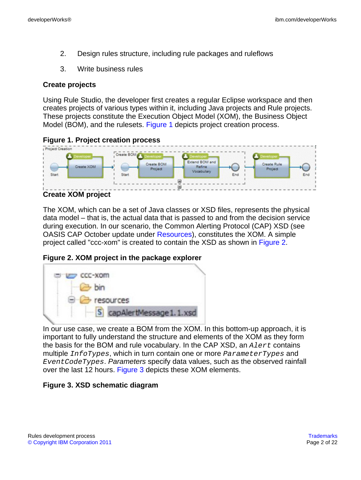- 2. Design rules structure, including rule packages and ruleflows
- 3. Write business rules

## **Create projects**

Using Rule Studio, the developer first creates a regular Eclipse workspace and then creates projects of various types within it, including Java projects and Rule projects. These projects constitute the Execution Object Model (XOM), the Business Object Model (BOM), and the rulesets. [Figure 1](#page-1-0) depicts project creation process.

## <span id="page-1-0"></span>**Figure 1. Project creation process**



**Create XOM project**

The XOM, which can be a set of Java classes or XSD files, represents the physical data model – that is, the actual data that is passed to and from the decision service during execution. In our scenario, the Common Alerting Protocol (CAP) XSD (see OASIS CAP October update under [Resources](#page-20-0)), constitutes the XOM. A simple project called "ccc-xom" is created to contain the XSD as shown in [Figure 2.](#page-1-1)

## <span id="page-1-1"></span>**Figure 2. XOM project in the package explorer**



In our use case, we create a BOM from the XOM. In this bottom-up approach, it is important to fully understand the structure and elements of the XOM as they form the basis for the BOM and rule vocabulary. In the CAP XSD, an *Alert* contains multiple InfoTypes, which in turn contain one or more ParameterTypes and EventCodeTypes. Parameters specify data values, such as the observed rainfall over the last 12 hours. [Figure 3](#page-1-2) depicts these XOM elements.

## <span id="page-1-2"></span>**Figure 3. XSD schematic diagram**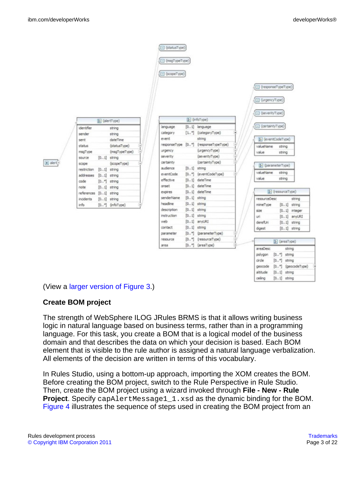

## (View a [larger version of Figure 3.](sidefile-figure3lrg.html))

## **Create BOM project**

The strength of WebSphere ILOG JRules BRMS is that it allows writing business logic in natural language based on business terms, rather than in a programming language. For this task, you create a BOM that is a logical model of the business domain and that describes the data on which your decision is based. Each BOM element that is visible to the rule author is assigned a natural language verbalization. All elements of the decision are written in terms of this vocabulary.

In Rules Studio, using a bottom-up approach, importing the XOM creates the BOM. Before creating the BOM project, switch to the Rule Perspective in Rule Studio. Then, create the BOM project using a wizard invoked through **File - New - Rule Project**. Specify capAlertMessage1\_1.xsd as the dynamic binding for the BOM. [Figure 4](#page-3-0) illustrates the sequence of steps used in creating the BOM project from an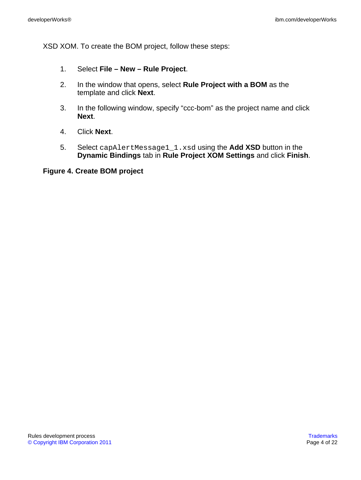XSD XOM. To create the BOM project, follow these steps:

- 1. Select **File New Rule Project**.
- 2. In the window that opens, select **Rule Project with a BOM** as the template and click **Next**.
- 3. In the following window, specify "ccc-bom" as the project name and click **Next**.
- 4. Click **Next**.
- 5. Select capAlertMessage1\_1.xsd using the **Add XSD** button in the **Dynamic Bindings** tab in **Rule Project XOM Settings** and click **Finish**.

<span id="page-3-0"></span>**Figure 4. Create BOM project**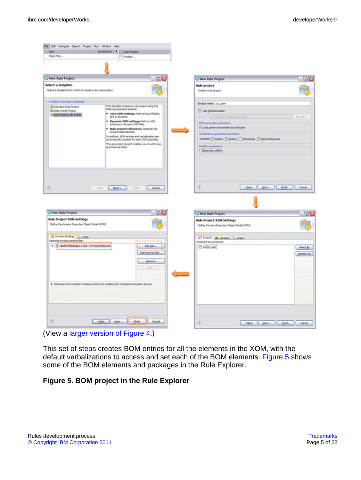

(View a [larger version of Figure 4.](sidefile-figure4lrg.html))

This set of steps creates BOM entries for all the elements in the XOM, with the default verbalizations to access and set each of the BOM elements. [Figure 5](#page-4-0) shows some of the BOM elements and packages in the Rule Explorer.

## <span id="page-4-0"></span>**Figure 5. BOM project in the Rule Explorer**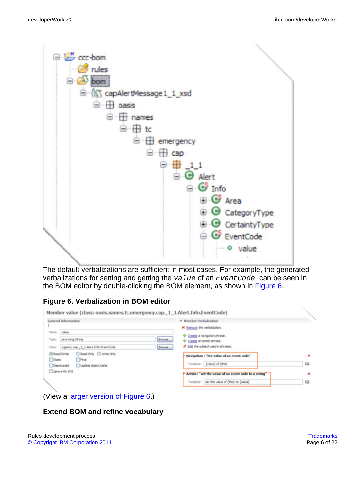

The default verbalizations are sufficient in most cases. For example, the generated verbalizations for setting and getting the value of an EventCode can be seen in the BOM editor by double-clicking the BOM element, as shown in [Figure 6](#page-5-0).

## <span id="page-5-0"></span>**Figure 6. Verbalization in BOM editor**



(View a [larger version of Figure 6.](sidefile-figure6lrg.html))

## **Extend BOM and refine vocabulary**

Rules development process **[Trademarks](http://www.ibm.com/developerworks/ibm/trademarks/)** Trademarks **Trademarks** Trademarks **Trademarks** Trademarks **Trademarks** Trademarks **Trademarks Convention** 2011 [© Copyright IBM Corporation 2011](http://www.ibm.com/legal/copytrade.shtml)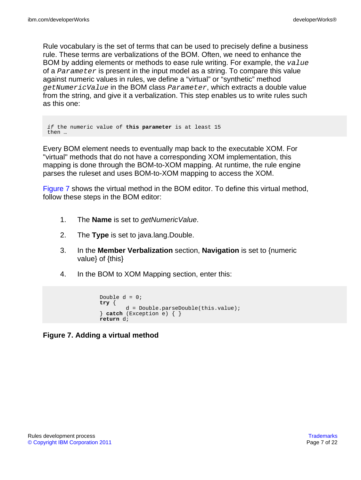Rule vocabulary is the set of terms that can be used to precisely define a business rule. These terms are verbalizations of the BOM. Often, we need to enhance the BOM by adding elements or methods to ease rule writing. For example, the  $value$ of a  $Parameter$  is present in the input model as a string. To compare this value against numeric values in rules, we define a "virtual" or "synthetic" method getNumericValue in the BOM class Parameter, which extracts a double value from the string, and give it a verbalization. This step enables us to write rules such as this one:

```
if the numeric value of this parameter is at least 15
then …
```
Every BOM element needs to eventually map back to the executable XOM. For "virtual" methods that do not have a corresponding XOM implementation, this mapping is done through the BOM-to-XOM mapping. At runtime, the rule engine parses the ruleset and uses BOM-to-XOM mapping to access the XOM.

[Figure 7](#page-6-0) shows the virtual method in the BOM editor. To define this virtual method, follow these steps in the BOM editor:

- 1. The **Name** is set to getNumericValue.
- 2. The **Type** is set to java.lang.Double.
- 3. In the **Member Verbalization** section, **Navigation** is set to {numeric value} of {this}
- 4. In the BOM to XOM Mapping section, enter this:

```
Double d = 0;
try {
       d = Double.parseDouble(this.value);
} catch (Exception e) { }
return d;
```
## <span id="page-6-0"></span>**Figure 7. Adding a virtual method**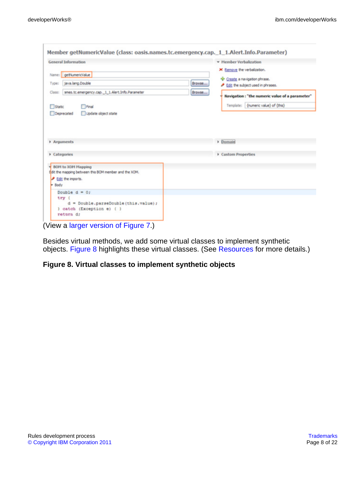| <b>General Information</b>                                                                                                                                              | v Member Verbalization                                                                                                                                                                                          |
|-------------------------------------------------------------------------------------------------------------------------------------------------------------------------|-----------------------------------------------------------------------------------------------------------------------------------------------------------------------------------------------------------------|
| Name: getNumericValue<br>java.lang.Double<br>Type:<br>ames.tc.emergency.cap. 1_1.Alert.Info.Parameter<br>Class:<br>Static<br>Final<br>Deprecated<br>Update object state | X Remove the verbalization.<br>** Create a navigation phrase.<br>Browse<br>Edit the subject used in phrases.<br>Browse<br>Navigation: "the numeric value of a parameter"<br>Template: (numeric value) of (this) |
| <b>Arguments</b>                                                                                                                                                        | Domain                                                                                                                                                                                                          |
| > Categories                                                                                                                                                            | <b>Custom Properties</b>                                                                                                                                                                                        |
| <b>BOM to XOM Mapping</b><br>Edit the mapping between this BOM member and the XOM.<br><b>P</b> Edit the imports.<br>Body<br>×                                           |                                                                                                                                                                                                                 |
| Double $d = 0$ ;<br>try (<br>$d = Double.parseDouble(this.value);$<br>} catch (Exception e) { }<br>return d:                                                            |                                                                                                                                                                                                                 |

Besides virtual methods, we add some virtual classes to implement synthetic objects. [Figure 8](#page-7-0) highlights these virtual classes. (See [Resources](#page-20-0) for more details.)

## <span id="page-7-0"></span>**Figure 8. Virtual classes to implement synthetic objects**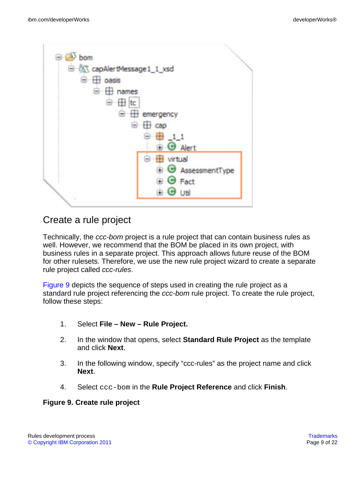

## Create a rule project

Technically, the ccc-bom project is a rule project that can contain business rules as well. However, we recommend that the BOM be placed in its own project, with business rules in a separate project. This approach allows future reuse of the BOM for other rulesets. Therefore, we use the new rule project wizard to create a separate rule project called ccc-rules.

[Figure 9](#page-8-0) depicts the sequence of steps used in creating the rule project as a standard rule project referencing the ccc-bom rule project. To create the rule project, follow these steps:

- 1. Select **File New Rule Project.**
- 2. In the window that opens, select **Standard Rule Project** as the template and click **Next**.
- 3. In the following window, specify "ccc-rules" as the project name and click **Next**.
- 4. Select ccc-bom in the **Rule Project Reference** and click **Finish**.

## <span id="page-8-0"></span>**Figure 9. Create rule project**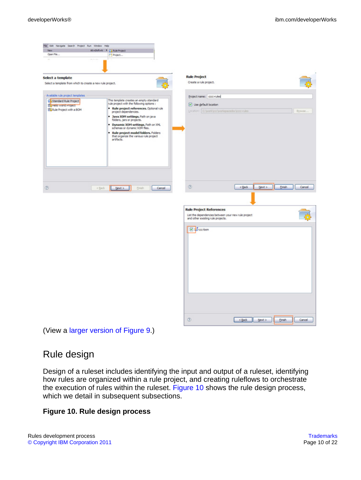

(View a [larger version of Figure 9.](sidefile-figure9lrg.html))

## Rule design

Design of a ruleset includes identifying the input and output of a ruleset, identifying how rules are organized within a rule project, and creating ruleflows to orchestrate the execution of rules within the ruleset. [Figure 10](#page-9-0) shows the rule design process, which we detail in subsequent subsections.

## <span id="page-9-0"></span>**Figure 10. Rule design process**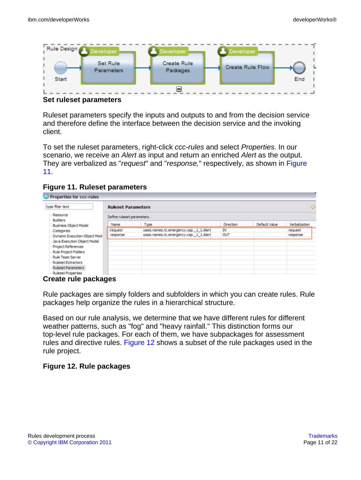

**Set ruleset parameters**

Ruleset parameters specify the inputs and outputs to and from the decision service and therefore define the interface between the decision service and the invoking client.

To set the ruleset parameters, right-click ccc-rules and select Properties. In our scenario, we receive an Alert as input and return an enriched Alert as the output. They are verbalized as "request" and "response," respectively, as shown in [Figure](#page-10-0) [11](#page-10-0).

<span id="page-10-0"></span>**Figure 11. Ruleset parameters**

| type filter text                                                             | <b>Ruleset Parameters</b>  |                                                                                    |           |               | ⇔                   |
|------------------------------------------------------------------------------|----------------------------|------------------------------------------------------------------------------------|-----------|---------------|---------------------|
| Resource<br><b>Builders</b>                                                  | Define ruleset parameters. |                                                                                    |           |               |                     |
| <b>Business Object Model</b>                                                 | Name                       | Type                                                                               | Direction | Default Value | Verbalization       |
| Categories<br>Dynamic Execution Object Mod-<br>Java Execution Object Model   | request<br>response        | oasis.names.tc.emergency.cap. 1 1.Alert<br>oasis.names.tc.emergency.cap. 1_1.Alert | IN<br>OUT |               | request<br>response |
| <b>Project References</b><br><b>Rule Project Folders</b><br>Rule Team Server |                            |                                                                                    |           |               |                     |
| <b>Ruleset Extractors</b>                                                    |                            |                                                                                    |           |               |                     |
| <b>Ruleset Parameters</b><br><b>Ruleset Properties</b>                       |                            |                                                                                    |           |               |                     |

#### **Create rule packages**

Rule packages are simply folders and subfolders in which you can create rules. Rule packages help organize the rules in a hierarchical structure.

Based on our rule analysis, we determine that we have different rules for different weather patterns, such as "fog" and "heavy rainfall." This distinction forms our top-level rule packages. For each of them, we have subpackages for assessment rules and directive rules. [Figure 12](#page-10-1) shows a subset of the rule packages used in the rule project.

## <span id="page-10-1"></span>**Figure 12. Rule packages**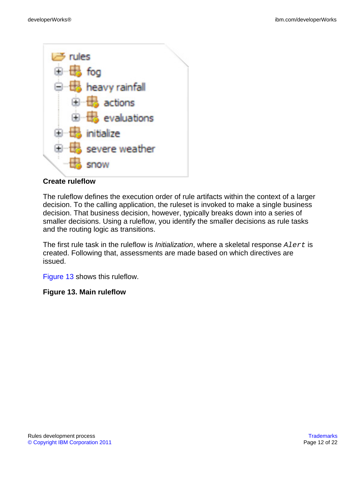

## **Create ruleflow**

The ruleflow defines the execution order of rule artifacts within the context of a larger decision. To the calling application, the ruleset is invoked to make a single business decision. That business decision, however, typically breaks down into a series of smaller decisions. Using a ruleflow, you identify the smaller decisions as rule tasks and the routing logic as transitions.

The first rule task in the ruleflow is *Initialization*, where a skeletal response  $Alert$  is created. Following that, assessments are made based on which directives are issued.

[Figure 13](#page-11-0) shows this ruleflow.

## <span id="page-11-0"></span>**Figure 13. Main ruleflow**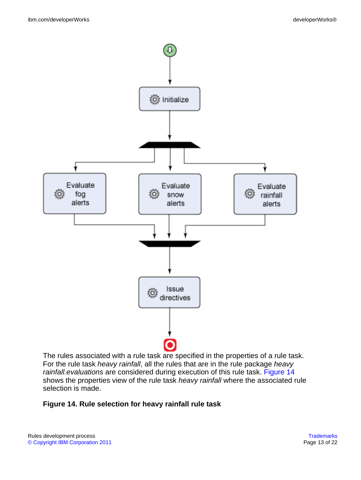

The rules associated with a rule task are specified in the properties of a rule task. For the rule task heavy rainfall, all the rules that are in the rule package heavy rainfall. evaluations are considered during execution of this rule task. [Figure 14](#page-12-0) shows the properties view of the rule task heavy rainfall where the associated rule selection is made.

## <span id="page-12-0"></span>**Figure 14. Rule selection for heavy rainfall rule task**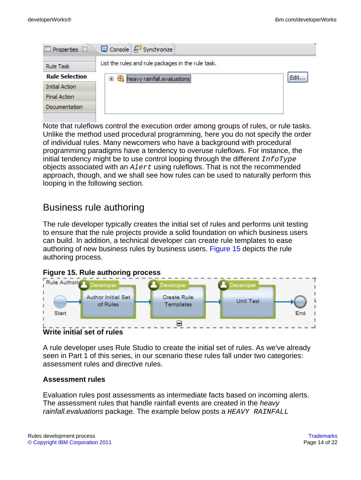| El Properties $\boxtimes$ | $\Box$ Console $\Box$ Synchronize                  |      |
|---------------------------|----------------------------------------------------|------|
| <b>Rule Task</b>          | List the rules and rule packages in the rule task. |      |
| <b>Rule Selection</b>     | Ŧ<br>heavy rainfall evaluations<br>۳з              | Edit |
| <b>Initial Action</b>     |                                                    |      |
| <b>Final Action</b>       |                                                    |      |
| Documentation             |                                                    |      |
|                           |                                                    |      |

Note that ruleflows control the execution order among groups of rules, or rule tasks. Unlike the method used procedural programming, here you do not specify the order of individual rules. Many newcomers who have a background with procedural programming paradigms have a tendency to overuse ruleflows. For instance, the initial tendency might be to use control looping through the different  $InfoType$ objects associated with an Alert using ruleflows. That is not the recommended approach, though, and we shall see how rules can be used to naturally perform this looping in the following section.

## Business rule authoring

The rule developer typically creates the initial set of rules and performs unit testing to ensure that the rule projects provide a solid foundation on which business users can build. In addition, a technical developer can create rule templates to ease authoring of new business rules by business users. [Figure 15](#page-13-0) depicts the rule authoring process.

## <span id="page-13-0"></span>**Figure 15. Rule authoring process**



## **Write initial set of rules**

A rule developer uses Rule Studio to create the initial set of rules. As we've already seen in Part 1 of this series, in our scenario these rules fall under two categories: assessment rules and directive rules.

## **Assessment rules**

Evaluation rules post assessments as intermediate facts based on incoming alerts. The assessment rules that handle rainfall events are created in the *heavy* rainfall.evaluations package. The example below posts a HEAVY RAINFALL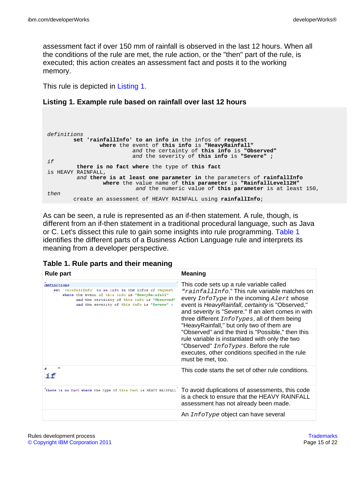assessment fact if over 150 mm of rainfall is observed in the last 12 hours. When all the conditions of the rule are met, the rule action, or the "then" part of the rule, is executed; this action creates an assessment fact and posts it to the working memory.

This rule is depicted in [Listing 1](#page-14-0).

<span id="page-14-0"></span>**Listing 1. Example rule based on rainfall over last 12 hours**

definitions **set 'rainfallInfo' to an info in** the infos of **request where** the event of **this info** is **"HeavyRainfall"** and the certainty of **this info** is **"Observed"** and the severity of **this info** is **"Severe" ;** if **there is no fact where** the type of **this fact** is HEAVY RAINFALL, and **there is at least one parameter in** the parameters of **rainfallInfo where** the value name of **this parameter** is **"RainfallLevel12H"** and the numeric value of **this parameter** is at least 150, then create an assessment of HEAVY RAINFALL using **rainfallInfo**;

As can be seen, a rule is represented as an if-then statement. A rule, though, is different from an if-then statement in a traditional procedural language, such as Java or C. Let's dissect this rule to gain some insights into rule programming. [Table 1](#page-14-1) identifies the different parts of a Business Action Language rule and interprets its meaning from a developer perspective.

| Table T. Rule parts and their meaning                                                                    |                             |
|----------------------------------------------------------------------------------------------------------|-----------------------------|
| Rule part                                                                                                | Meaning                     |
| definitions                                                                                              | This code sets up a r       |
| set 'rainfallInfo' to an info in the infos of request<br>where the event of this info is "HeavyRainfall" | "rainfallInfo."T<br>$1 - 4$ |

<span id="page-14-1"></span>**Table 1. Rule parts and their meaning**

| definitions                                                                                                                                                                                             | This code sets up a rule variable called                                                                                                                                                                                                                                                                                                                                                                                                                                                                                                                    |
|---------------------------------------------------------------------------------------------------------------------------------------------------------------------------------------------------------|-------------------------------------------------------------------------------------------------------------------------------------------------------------------------------------------------------------------------------------------------------------------------------------------------------------------------------------------------------------------------------------------------------------------------------------------------------------------------------------------------------------------------------------------------------------|
| set 'rainfallInfo' to an info in the infos of request<br>where the event of this info is "HeavyRainfall"<br>and the certainty of this info is "Observed"<br>and the severity of this info is "Severe" ; | "rainfallInfo." This rule variable matches on<br>every <i>InfoType</i> in the incoming <i>Alert</i> whose<br>event is HeavyRainfall, certainty is "Observed,"<br>and severity is "Severe." If an alert comes in with<br>three different <i>InfoTypes</i> , all of them being<br>"HeavyRainfall," but only two of them are<br>"Observed" and the third is "Possible," then this<br>rule variable is instantiated with only the two<br>"Observed" <i>InfoTypes</i> . Before the rule<br>executes, other conditions specified in the rule<br>must be met, too. |
| if                                                                                                                                                                                                      | This code starts the set of other rule conditions.                                                                                                                                                                                                                                                                                                                                                                                                                                                                                                          |
| there is no fact where the type of this fact is HEAVY RAINFALL                                                                                                                                          | To avoid duplications of assessments, this code<br>is a check to ensure that the HEAVY RAINFALL<br>assessment has not already been made.                                                                                                                                                                                                                                                                                                                                                                                                                    |

An *InfoType* object can have several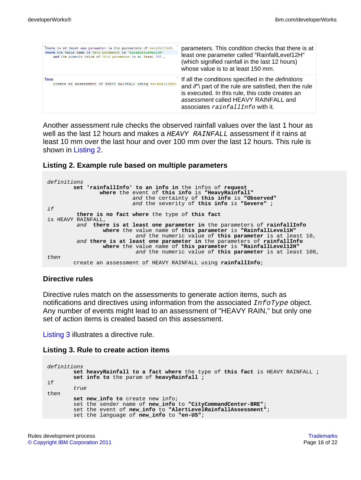| there is at least one parameter in the parameters of rainfallInfo<br>where the value name of this parameter is "RainfallLevel12H"<br>and the numeric value of this parameter is at least 150, | parameters. This condition checks that there is at<br>least one parameter called "RainfallLevel12H"<br>(which signified rainfall in the last 12 hours)<br>whose value is to at least 150 mm.                                                       |
|-----------------------------------------------------------------------------------------------------------------------------------------------------------------------------------------------|----------------------------------------------------------------------------------------------------------------------------------------------------------------------------------------------------------------------------------------------------|
| then<br>create an assessment of HEAVY RAINFALL using rainfallInfo                                                                                                                             | If all the conditions specified in the <i>definitions</i><br>and if"\ part of the rule are satisfied, then the rule<br>is executed. In this rule, this code creates an<br>assessment called HEAVY RAINFALL and<br>associates rainfallInfo with it. |

Another assessment rule checks the observed rainfall values over the last 1 hour as well as the last 12 hours and makes a HEAVY RAINFALL assessment if it rains at least 10 mm over the last hour and over 100 mm over the last 12 hours. This rule is shown in [Listing 2](#page-15-0).

#### <span id="page-15-0"></span>**Listing 2. Example rule based on multiple parameters**

```
definitions
       set 'rainfallInfo' to an info in the infos of request
               where the event of this info is "HeavyRainfall"
                         and the certainty of this info is "Observed"
                          and the severity of this info is "Severe" ;
i \inthere is no fact where the type of this fact
is HEAVY RAINFALL,
        and there is at least one parameter in the parameters of rainfallInfo
                where the value name of this parameter is "RainfallLevel1H"
                           and the numeric value of this parameter is at least 10,
        and there is at least one parameter in the parameters of rainfallInfo
                where the value name of this parameter is "RainfallLevel12H"
                           and the numeric value of this parameter is at least 100,
then
        create an assessment of HEAVY RAINFALL using rainfallInfo;
```
#### **Directive rules**

Directive rules match on the assessments to generate action items, such as notifications and directives using information from the associated *InfoType* object. Any number of events might lead to an assessment of "HEAVY RAIN," but only one set of action items is created based on this assessment.

[Listing 3](#page-15-1) illustrates a directive rule.

#### <span id="page-15-1"></span>**Listing 3. Rule to create action items**

```
definitions
        set heavyRainfall to a fact where the type of this fact is HEAVY RAINFALL ;
       set info to the param of heavyRainfall ;
if
        true
then
        set new_info to create new info;
        set the sender name of new_info to "CityCommandCenter-BRE";
        set the event of new_info to "AlertLevelRainfallAssessment";
        set the language of new_info to "en-US";
```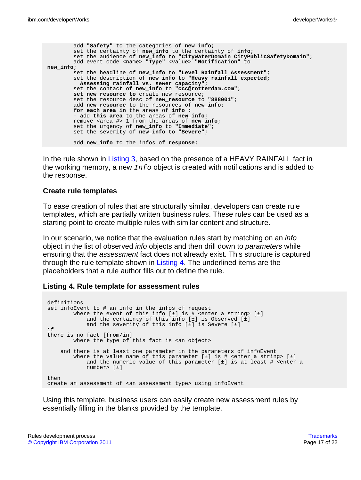add **"Safety"** to the categories of **new\_info**; set the certainty of **new\_info** to the certainty of **info**; set the audience of **new\_info** to **"CityWaterDomain CityPublicSafetyDomain"**; add event code <name> **"Type"** <value> **"Notification"** to **new\_info**; set the headline of **new\_info** to **"Level Rainfall Assessment"**; set the description of **new\_info** to **"Heavy rainfall expected; Assessing rainfall vs. sewer capacity"**; set the contact of **new\_info** to **"ccc@rotterdam.com"**; set new resource to create new resource; set the resource desc of **new\_resource** to **"888001"**; add **new\_resource** to the resources of **new\_info**; **for each area in** the areas of **info :** - add **this area** to the areas of **new\_info**; remove <area #> 1 from the areas of **new\_info**; set the urgency of **new\_info** to **"Immediate"**; set the severity of **new\_info** to **"Severe"**; add **new\_info** to the infos of **response**;

In the rule shown in [Listing 3,](#page-15-1) based on the presence of a HEAVY RAINFALL fact in the working memory, a new  $Int\phi$  object is created with notifications and is added to the response.

#### **Create rule templates**

To ease creation of rules that are structurally similar, developers can create rule templates, which are partially written business rules. These rules can be used as a starting point to create multiple rules with similar content and structure.

In our scenario, we notice that the evaluation rules start by matching on an *info* object in the list of observed info objects and then drill down to parameters while ensuring that the assessment fact does not already exist. This structure is captured through the rule template shown in [Listing 4.](#page-16-0) The underlined items are the placeholders that a rule author fills out to define the rule.

#### <span id="page-16-0"></span>**Listing 4. Rule template for assessment rules**

```
definitions
set infoEvent to # an info in the infos of request
        where the event of this info [±] is # <enter a string> [±]
            and the certainty of this info [±] is Observed [±]
           and the severity of this info [t] is Severe [t]if
there is no fact [from/in]
       where the type of this fact is <an object>
    and there is at least one parameter in the parameters of infoEvent
       where the value name of this parameter [t] is # <enter a string> [t]and the numeric value of this parameter [t] is at least # <enter a
           number> [±]
then
create an assessment of <an assessment type> using infoEvent
```
Using this template, business users can easily create new assessment rules by essentially filling in the blanks provided by the template.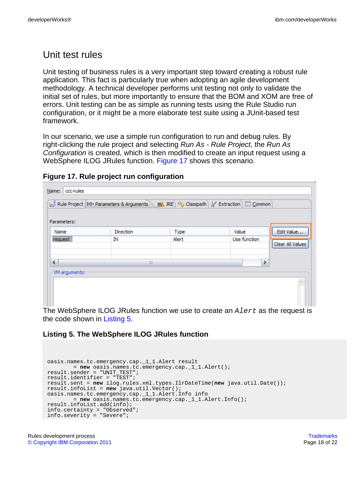## Unit test rules

Unit testing of business rules is a very important step toward creating a robust rule application. This fact is particularly true when adopting an agile development methodology. A technical developer performs unit testing not only to validate the initial set of rules, but more importantly to ensure that the BOM and XOM are free of errors. Unit testing can be as simple as running tests using the Rule Studio run configuration, or it might be a more elaborate test suite using a JUnit-based test framework.

In our scenario, we use a simple run configuration to run and debug rules. By right-clicking the rule project and selecting Run As - Rule Project, the Run As Configuration is created, which is then modified to create an input request using a WebSphere ILOG JRules function. [Figure 17](#page-17-0) shows this scenario.

| Name    | Direction | Type  | Value        | Edit Value       |
|---------|-----------|-------|--------------|------------------|
| request | ΙN        | Alert | Use function | Clear All Values |
| ≺       | 31        |       |              |                  |

### <span id="page-17-0"></span>**Figure 17. Rule project run configuration**

The WebSphere ILOG JRUIES function we use to create an  $Alert$  as the request is the code shown in [Listing 5.](#page-17-1)

### <span id="page-17-1"></span>**Listing 5. The WebSphere ILOG JRules function**

```
oasis.names.tc.emergency.cap._1_1.Alert result
       = new oasis.names.tc.emergency.cap._1_1.Alert();
result.sender = "UNIT_TEST";
result.identifier = "TEST";
result.sent = new ilog.rules.xml.types.IlrDateTime(new java.util.Date());
result.infoList = new java.util.Vector();
oasis.names.tc.emergency.cap._1_1.Alert.Info info
       = new oasis.names.tc.emergency.cap._1_1.Alert.Info();
result.infoList.add(info);
info.certainty = "Observed";
info.severity = "Severe";
```
Rules development process and the control of the control of the control of the control of the control of the control of the control of the control of the control of the control of the control of the control of the control [© Copyright IBM Corporation 2011](http://www.ibm.com/legal/copytrade.shtml)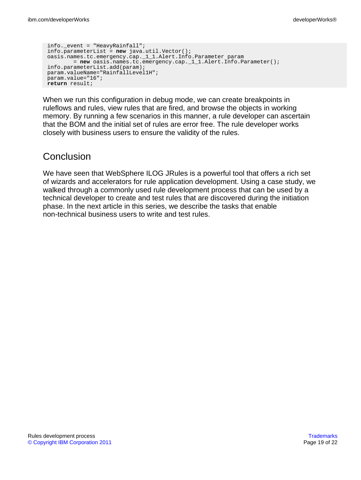```
info._event = "HeavyRainfall";
info.parameterList = new java.util.Vector();
oasis.names.tc.emergency.cap._1_1.Alert.Info.Parameter param
       = new oasis.names.tc.emergency.cap._1_1.Alert.Info.Parameter();
info.parameterList.add(param);
param.valueName="RainfallLevel1H";
param.value="16";
return result;
```
When we run this configuration in debug mode, we can create breakpoints in ruleflows and rules, view rules that are fired, and browse the objects in working memory. By running a few scenarios in this manner, a rule developer can ascertain that the BOM and the initial set of rules are error free. The rule developer works closely with business users to ensure the validity of the rules.

## Conclusion

We have seen that WebSphere ILOG JRules is a powerful tool that offers a rich set of wizards and accelerators for rule application development. Using a case study, we walked through a commonly used rule development process that can be used by a technical developer to create and test rules that are discovered during the initiation phase. In the next article in this series, we describe the tasks that enable non-technical business users to write and test rules.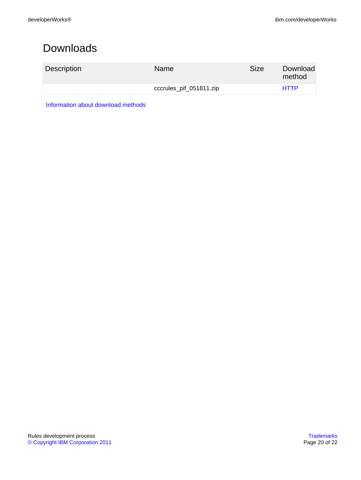# <span id="page-19-0"></span>Downloads

| Description | <b>Name</b>             | <b>Size</b> | Download<br>method |
|-------------|-------------------------|-------------|--------------------|
|             | cccrules_pif_051811.zip |             | <b>HTTP</b>        |

[Information about download methods](http://www.ibm.com/developerworks/library/whichmethod.html)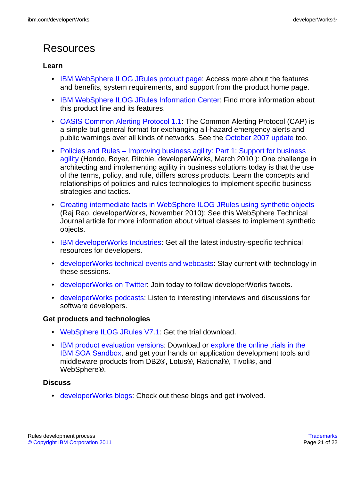# <span id="page-20-0"></span>Resources

## **Learn**

- [IBM WebSphere ILOG JRules product page:](http://www.ibm.com/software/integration/business-rule-management/jrules/) Access more about the features and benefits, system requirements, and support from the product home page.
- [IBM WebSphere ILOG JRules Information Center:](http://publib.boulder.ibm.com/infocenter/brjrules/v7r1/index.jsp) Find more information about this product line and its features.
- [OASIS Common Alerting Protocol 1.1](#page-0-0): The Common Alerting Protocol (CAP) is a simple but general format for exchanging all-hazard emergency alerts and public warnings over all kinds of networks. See the [October 2007 update](http://docs.oasis-open.org/emergency/cap/v1.1/errata/CAP-v1.1-errata.html) too.
- [Policies and Rules Improving business agility: Part 1: Support for business](http://www.ibm.com/developerworks/webservices/library/ws-policyandrules/index.html) [agility](http://www.ibm.com/developerworks/webservices/library/ws-policyandrules/index.html) (Hondo, Boyer, Ritchie, developerWorks, March 2010 ): One challenge in architecting and implementing agility in business solutions today is that the use of the terms, policy, and rule, differs across products. Learn the concepts and relationships of policies and rules technologies to implement specific business strategies and tactics.
- [Creating intermediate facts in WebSphere ILOG JRules using synthetic objects](http://www.ibm.com/developerworks/websphere/techjournal/1011_rao/1011_rao.html?ca=drs-) (Raj Rao, developerWorks, November 2010): See this WebSphere Technical Journal article for more information about virtual classes to implement synthetic objects.
- [IBM developerWorks Industries:](https://www.ibm.com/developerworks/industry/) Get all the latest industry-specific technical resources for developers.
- [developerWorks technical events and webcasts:](http://www.ibm.com/developerworks/offers/techbriefings/) Stay current with technology in these sessions.
- [developerWorks on Twitter:](http://twitter.com/#!/developerworks/) Join today to follow developerWorks tweets.
- [developerWorks podcasts](http://www.ibm.com/developerworks/podcast/): Listen to interesting interviews and discussions for software developers.

## **Get products and technologies**

- [WebSphere ILOG JRules V7.1:](http://www.ibm.com/developerworks/downloads/ws/jrules/) Get the trial download.
- [IBM product evaluation versions:](http://www.ibm.com/developerworks/downloads/) Download or [explore the online trials in the](http://www.ibm.com/developerworks/downloads/soasandbox/) [IBM SOA Sandbox,](http://www.ibm.com/developerworks/downloads/soasandbox/) and get your hands on application development tools and middleware products from DB2®, Lotus®, Rational®, Tivoli®, and WebSphere®.

## **Discuss**

• [developerWorks blogs:](https://www.ibm.com/developerworks/mydeveloperworks/blogs/?lang=en) Check out these blogs and get involved.